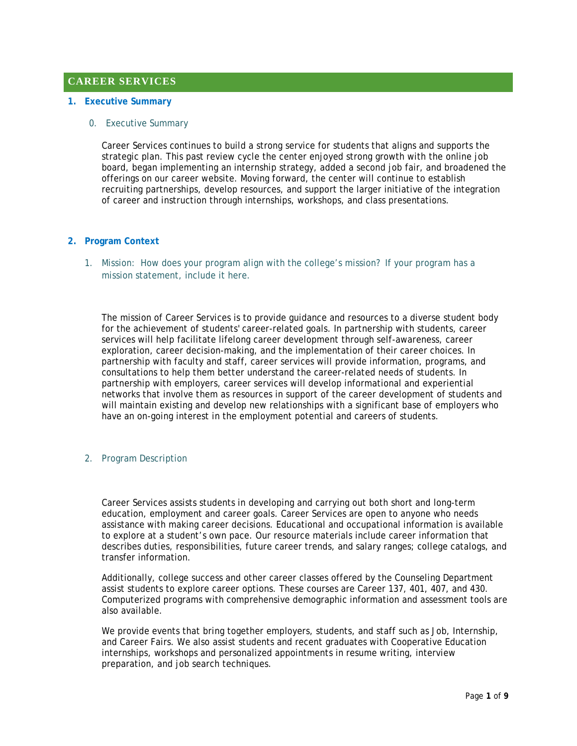# **CAREER SERVICES**

#### **1. Executive Summary**

#### 0. Executive Summary

Career Services continues to build a strong service for students that aligns and supports the strategic plan. This past review cycle the center enjoyed strong growth with the online job board, began implementing an internship strategy, added a second job fair, and broadened the offerings on our career website. Moving forward, the center will continue to establish recruiting partnerships, develop resources, and support the larger initiative of the integration of career and instruction through internships, workshops, and class presentations.

#### **2. Program Context**

1. Mission: How does your program align with the college's mission? If your program has a mission statement, include it here.

The mission of Career Services is to provide guidance and resources to a diverse student body for the achievement of students' career-related goals. In partnership with students, career services will help facilitate lifelong career development through self-awareness, career exploration, career decision-making, and the implementation of their career choices. In partnership with faculty and staff, career services will provide information, programs, and consultations to help them better understand the career-related needs of students. In partnership with employers, career services will develop informational and experiential networks that involve them as resources in support of the career development of students and will maintain existing and develop new relationships with a significant base of employers who have an on-going interest in the employment potential and careers of students.

### 2. Program Description

Career Services assists students in developing and carrying out both short and long-term education, employment and career goals. Career Services are open to anyone who needs assistance with making career decisions. Educational and occupational information is available to explore at a student's own pace. Our resource materials include career information that describes duties, responsibilities, future career trends, and salary ranges; college catalogs, and transfer information.

Additionally, college success and other career classes offered by the Counseling Department assist students to explore career options. These courses are Career 137, 401, 407, and 430. Computerized programs with comprehensive demographic information and assessment tools are also available.

We provide events that bring together employers, students, and staff such as Job, Internship, and Career Fairs. We also assist students and recent graduates with Cooperative Education internships, workshops and personalized appointments in resume writing, interview preparation, and job search techniques.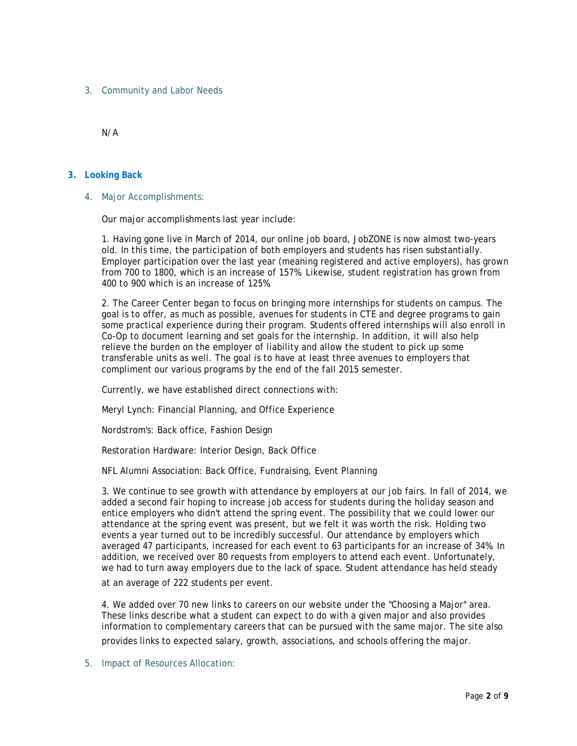3. Community and Labor Needs

N/A

## **3. Looking Back**

4. Major Accomplishments:

Our major accomplishments last year include:

1. Having gone live in March of 2014, our online job board, JobZONE is now almost two-years old. In this time, the participation of both employers and students has risen substantially. Employer participation over the last year (meaning registered and active employers), has grown from 700 to 1800, which is an increase of 157%. Likewise, student registration has grown from 400 to 900 which is an increase of 125%.

2. The Career Center began to focus on bringing more internships for students on campus. The goal is to offer, as much as possible, avenues for students in CTE and degree programs to gain some practical experience during their program. Students offered internships will also enroll in Co-Op to document learning and set goals for the internship. In addition, it will also help relieve the burden on the employer of liability and allow the student to pick up some transferable units as well. The goal is to have at least three avenues to employers that compliment our various programs by the end of the fall 2015 semester.

Currently, we have established direct connections with:

Meryl Lynch: Financial Planning, and Office Experience

Nordstrom's: Back office, Fashion Design

Restoration Hardware: Interior Design, Back Office

NFL Alumni Association: Back Office, Fundraising, Event Planning

3. We continue to see growth with attendance by employers at our job fairs. In fall of 2014, we added a second fair hoping to increase job access for students during the holiday season and entice employers who didn't attend the spring event. The possibility that we could lower our attendance at the spring event was present, but we felt it was worth the risk. Holding two events a year turned out to be incredibly successful. Our attendance by employers which averaged 47 participants, increased for each event to 63 participants for an increase of 34%. In addition, we received over 80 requests from employers to attend each event. Unfortunately, we had to turn away employers due to the lack of space. Student attendance has held steady at an average of 222 students per event.

4. We added over 70 new links to careers on our website under the "Choosing a Major" area. These links describe what a student can expect to do with a given major and also provides information to complementary careers that can be pursued with the same major. The site also provides links to expected salary, growth, associations, and schools offering the major.

5. Impact of Resources Allocation: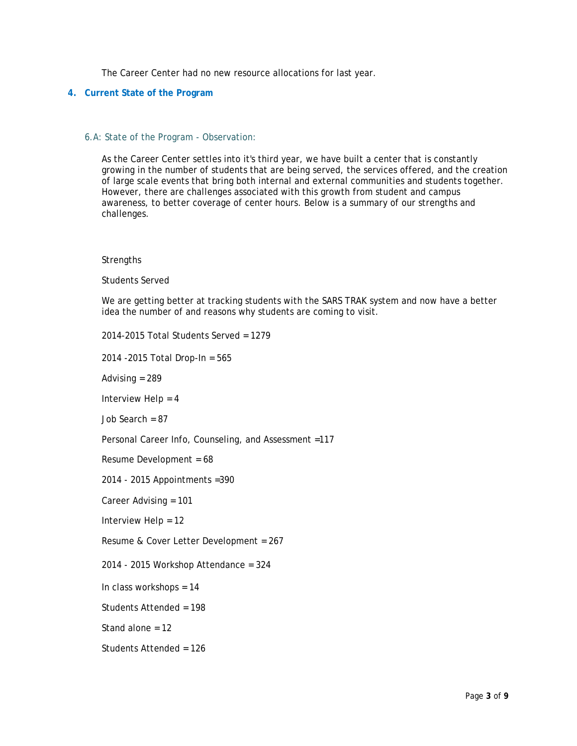The Career Center had no new resource allocations for last year.

### **4. Current State of the Program**

#### 6.A: State of the Program - Observation:

As the Career Center settles into it's third year, we have built a center that is constantly growing in the number of students that are being served, the services offered, and the creation of large scale events that bring both internal and external communities and students together. However, there are challenges associated with this growth from student and campus awareness, to better coverage of center hours. Below is a summary of our strengths and challenges.

#### **Strengths**

#### Students Served

We are getting better at tracking students with the SARS TRAK system and now have a better idea the number of and reasons why students are coming to visit.

2014-2015 Total Students Served = 1279

2014 -2015 Total Drop-In = 565

Advising = 289

Interview Help = 4

Job Search = 87

Personal Career Info, Counseling, and Assessment =117

Resume Development = 68

2014 - 2015 Appointments =390

Career Advising = 101

Interview Help = 12

Resume & Cover Letter Development = 267

2014 - 2015 Workshop Attendance = 324

In class workshops = 14

Students Attended = 198

Stand alone = 12

Students Attended = 126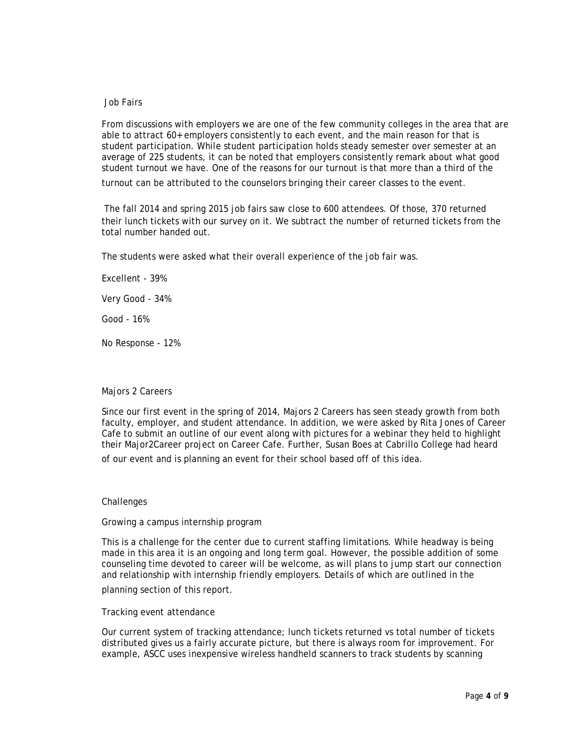#### Job Fairs

From discussions with employers we are one of the few community colleges in the area that are able to attract 60+ employers consistently to each event, and the main reason for that is student participation. While student participation holds steady semester over semester at an average of 225 students, it can be noted that employers consistently remark about what good student turnout we have. One of the reasons for our turnout is that more than a third of the

turnout can be attributed to the counselors bringing their career classes to the event.

The fall 2014 and spring 2015 job fairs saw close to 600 attendees. Of those, 370 returned their lunch tickets with our survey on it. We subtract the number of returned tickets from the total number handed out.

The students were asked what their overall experience of the job fair was.

Excellent - 39%

Very Good - 34%

Good - 16%

No Response - 12%

### Majors 2 Careers

Since our first event in the spring of 2014, Majors 2 Careers has seen steady growth from both faculty, employer, and student attendance. In addition, we were asked by Rita Jones of Career Cafe to submit an outline of our event along with pictures for a webinar they held to highlight their Major2Career project on Career Cafe. Further, Susan Boes at Cabrillo College had heard of our event and is planning an event for their school based off of this idea.

#### **Challenges**

#### Growing a campus internship program

This is a challenge for the center due to current staffing limitations. While headway is being made in this area it is an ongoing and long term goal. However, the possible addition of some counseling time devoted to career will be welcome, as will plans to jump start our connection and relationship with internship friendly employers. Details of which are outlined in the

planning section of this report.

#### Tracking event attendance

Our current system of tracking attendance; lunch tickets returned vs total number of tickets distributed gives us a fairly accurate picture, but there is always room for improvement. For example, ASCC uses inexpensive wireless handheld scanners to track students by scanning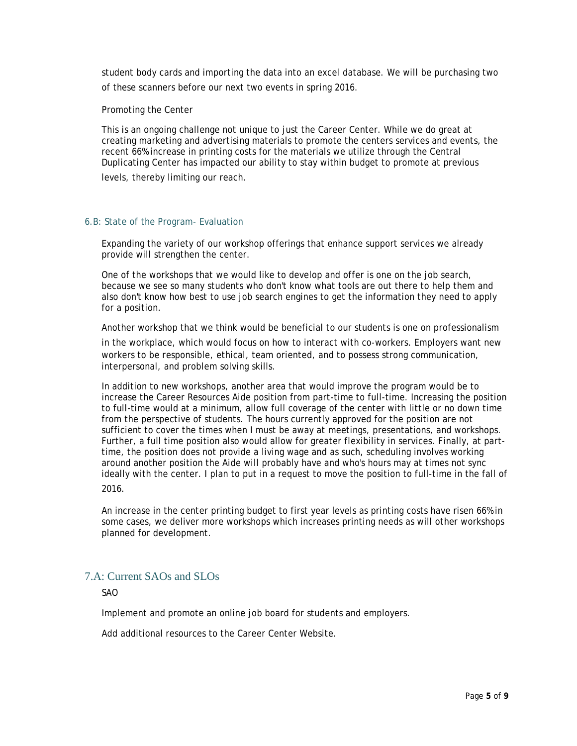student body cards and importing the data into an excel database. We will be purchasing two of these scanners before our next two events in spring 2016.

Promoting the Center

This is an ongoing challenge not unique to just the Career Center. While we do great at creating marketing and advertising materials to promote the centers services and events, the recent 66% increase in printing costs for the materials we utilize through the Central Duplicating Center has impacted our ability to stay within budget to promote at previous levels, thereby limiting our reach.

#### 6.B: State of the Program- Evaluation

Expanding the variety of our workshop offerings that enhance support services we already provide will strengthen the center.

One of the workshops that we would like to develop and offer is one on the job search, because we see so many students who don't know what tools are out there to help them and also don't know how best to use job search engines to get the information they need to apply for a position.

Another workshop that we think would be beneficial to our students is one on professionalism

in the workplace, which would focus on how to interact with co-workers. Employers want new workers to be responsible, ethical, team oriented, and to possess strong communication, interpersonal, and problem solving skills.

In addition to new workshops, another area that would improve the program would be to increase the Career Resources Aide position from part-time to full-time. Increasing the position to full-time would at a minimum, allow full coverage of the center with little or no down time from the perspective of students. The hours currently approved for the position are not sufficient to cover the times when I must be away at meetings, presentations, and workshops. Further, a full time position also would allow for greater flexibility in services. Finally, at parttime, the position does not provide a living wage and as such, scheduling involves working around another position the Aide will probably have and who's hours may at times not sync ideally with the center. I plan to put in a request to move the position to full-time in the fall of 2016.

An increase in the center printing budget to first year levels as printing costs have risen 66% in some cases, we deliver more workshops which increases printing needs as will other workshops planned for development.

# 7.A: Current SAOs and SLOs

SAO

Implement and promote an online job board for students and employers.

Add additional resources to the Career Center Website.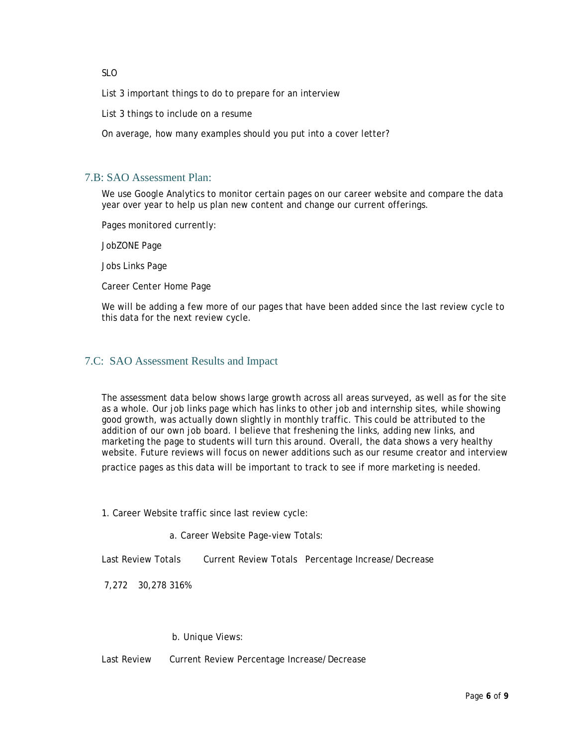SLO

List 3 important things to do to prepare for an interview

List 3 things to include on a resume

On average, how many examples should you put into a cover letter?

# 7.B: SAO Assessment Plan:

We use Google Analytics to monitor certain pages on our career website and compare the data year over year to help us plan new content and change our current offerings.

Pages monitored currently:

JobZONE Page

Jobs Links Page

Career Center Home Page

We will be adding a few more of our pages that have been added since the last review cycle to this data for the next review cycle.

# 7.C: SAO Assessment Results and Impact

The assessment data below shows large growth across all areas surveyed, as well as for the site as a whole. Our job links page which has links to other job and internship sites, while showing good growth, was actually down slightly in monthly traffic. This could be attributed to the addition of our own job board. I believe that freshening the links, adding new links, and marketing the page to students will turn this around. Overall, the data shows a very healthy website. Future reviews will focus on newer additions such as our resume creator and interview

practice pages as this data will be important to track to see if more marketing is needed.

1. Career Website traffic since last review cycle:

a. Career Website Page-view Totals:

Last Review Totals Current Review Totals Percentage Increase/Decrease

7,272 30,278 316%

#### b. Unique Views:

Last Review Current Review Percentage Increase/Decrease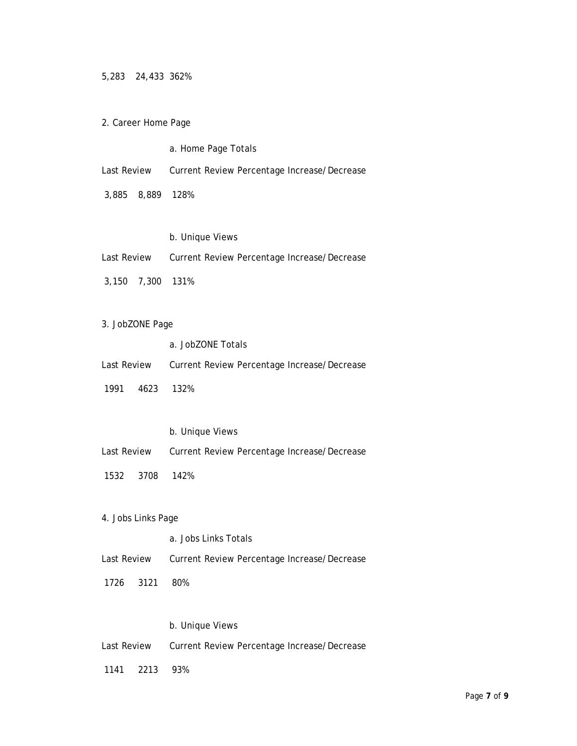5,283 24,433 362%

2. Career Home Page

a. Home Page Totals

Last Review Current Review Percentage Increase/Decrease

3,885 8,889 128%

## b. Unique Views

| Last Review      |  | Current Review Percentage Increase/Decrease |  |  |
|------------------|--|---------------------------------------------|--|--|
| 3,150 7,300 131% |  |                                             |  |  |

- 3. JobZONE Page
	- a. JobZONE Totals

| Last Review |  |  | Current Review Percentage Increase/Decrease |
|-------------|--|--|---------------------------------------------|
|-------------|--|--|---------------------------------------------|

- 1991 4623 132%
	- b. Unique Views
- Last Review Current Review Percentage Increase/Decrease
- 1532 3708 142%
- 4. Jobs Links Page
	- a. Jobs Links Totals
- Last Review Current Review Percentage Increase/Decrease
- 1726 3121 80%

## b. Unique Views

- Last Review Current Review Percentage Increase/Decrease
- 1141 2213 93%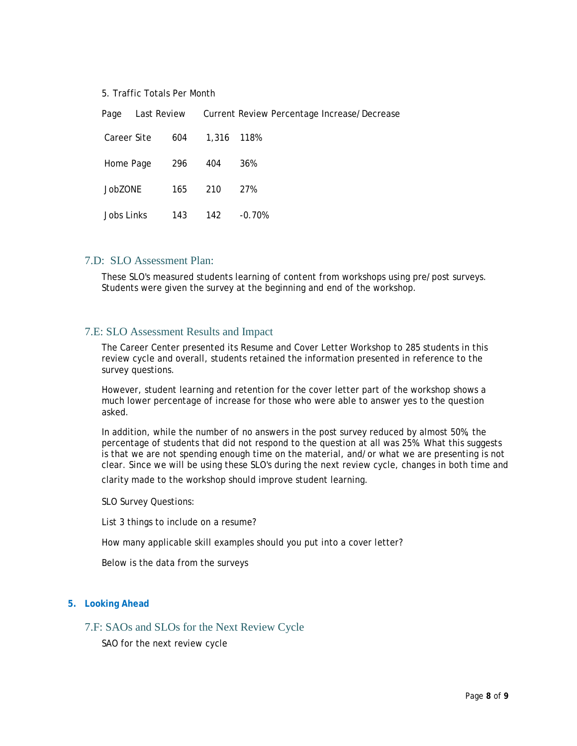#### 5. Traffic Totals Per Month

Page Last Review Current Review Percentage Increase/Decrease Career Site 604 1,316 118% Home Page 296 404 36% JobZONE 165 210 27% Jobs Links 143 142 -0.70%

### 7.D: SLO Assessment Plan:

These SLO's measured students learning of content from workshops using pre/post surveys. Students were given the survey at the beginning and end of the workshop.

## 7.E: SLO Assessment Results and Impact

The Career Center presented its Resume and Cover Letter Workshop to 285 students in this review cycle and overall, students retained the information presented in reference to the survey questions.

However, student learning and retention for the cover letter part of the workshop shows a much lower percentage of increase for those who were able to answer yes to the question asked.

In addition, while the number of no answers in the post survey reduced by almost 50%, the percentage of students that did not respond to the question at all was 25%. What this suggests is that we are not spending enough time on the material, and/or what we are presenting is not clear. Since we will be using these SLO's during the next review cycle, changes in both time and

clarity made to the workshop should improve student learning.

SLO Survey Questions:

List 3 things to include on a resume?

How many applicable skill examples should you put into a cover letter?

Below is the data from the surveys

#### **5. Looking Ahead**

## 7.F: SAOs and SLOs for the Next Review Cycle

SAO for the next review cycle